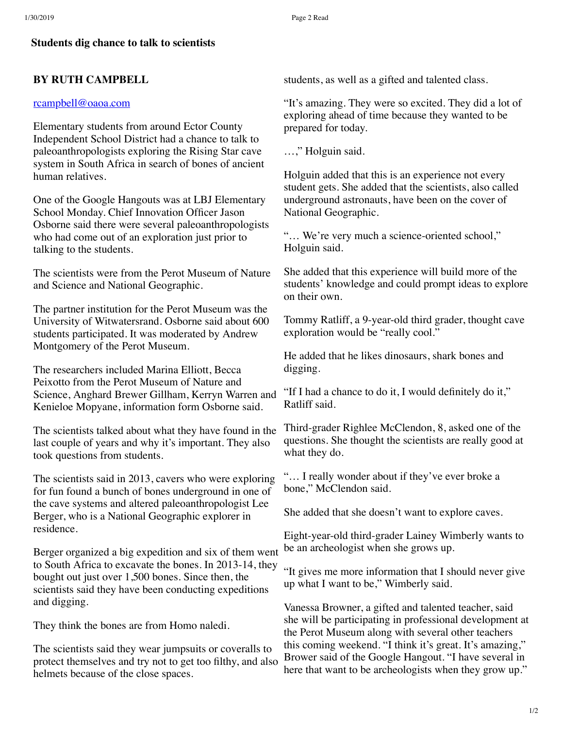## **Students dig chance to talk to scientists**

## **BY RUTH CAMPBELL**

### [rcampbell@oaoa.com](mailto:rcampbell@oaoa.com)

Elementary students from around Ector County Independent School District had a chance to talk to paleoanthropologists exploring the Rising Star cave system in South Africa in search of bones of ancient human relatives.

One of the Google Hangouts was at LBJ Elementary School Monday. Chief Innovation Officer Jason Osborne said there were several paleoanthropologists who had come out of an exploration just prior to talking to the students.

The scientists were from the Perot Museum of Nature and Science and National Geographic.

The partner institution for the Perot Museum was the University of Witwatersrand. Osborne said about 600 students participated. It was moderated by Andrew Montgomery of the Perot Museum.

The researchers included Marina Elliott, Becca Peixotto from the Perot Museum of Nature and Science, Anghard Brewer Gillham, Kerryn Warren and Kenieloe Mopyane, information form Osborne said.

The scientists talked about what they have found in the last couple of years and why it's important. They also took questions from students.

The scientists said in 2013, cavers who were exploring for fun found a bunch of bones underground in one of the cave systems and altered paleoanthropologist Lee Berger, who is a National Geographic explorer in residence.

Berger organized a big expedition and six of them went to South Africa to excavate the bones. In 2013-14, they bought out just over 1,500 bones. Since then, the scientists said they have been conducting expeditions and digging.

They think the bones are from Homo naledi.

The scientists said they wear jumpsuits or coveralls to protect themselves and try not to get too filthy, and also helmets because of the close spaces.

students, as well as a gifted and talented class.

"It's amazing. They were so excited. They did a lot of exploring ahead of time because they wanted to be prepared for today.

…," Holguin said.

Holguin added that this is an experience not every student gets. She added that the scientists, also called underground astronauts, have been on the cover of National Geographic.

"… We're very much a science-oriented school," Holguin said.

She added that this experience will build more of the students' knowledge and could prompt ideas to explore on their own.

Tommy Ratliff, a 9-year-old third grader, thought cave exploration would be "really cool."

He added that he likes dinosaurs, shark bones and digging.

"If I had a chance to do it, I would definitely do it," Ratliff said.

Third-grader Righlee McClendon, 8, asked one of the questions. She thought the scientists are really good at what they do.

"… I really wonder about if they've ever broke a bone," McClendon said.

She added that she doesn't want to explore caves.

Eight-year-old third-grader Lainey Wimberly wants to be an archeologist when she grows up.

"It gives me more information that I should never give up what I want to be," Wimberly said.

Vanessa Browner, a gifted and talented teacher, said she will be participating in professional development at the Perot Museum along with several other teachers this coming weekend. "I think it's great. It's amazing," Brower said of the Google Hangout. "I have several in here that want to be archeologists when they grow up."